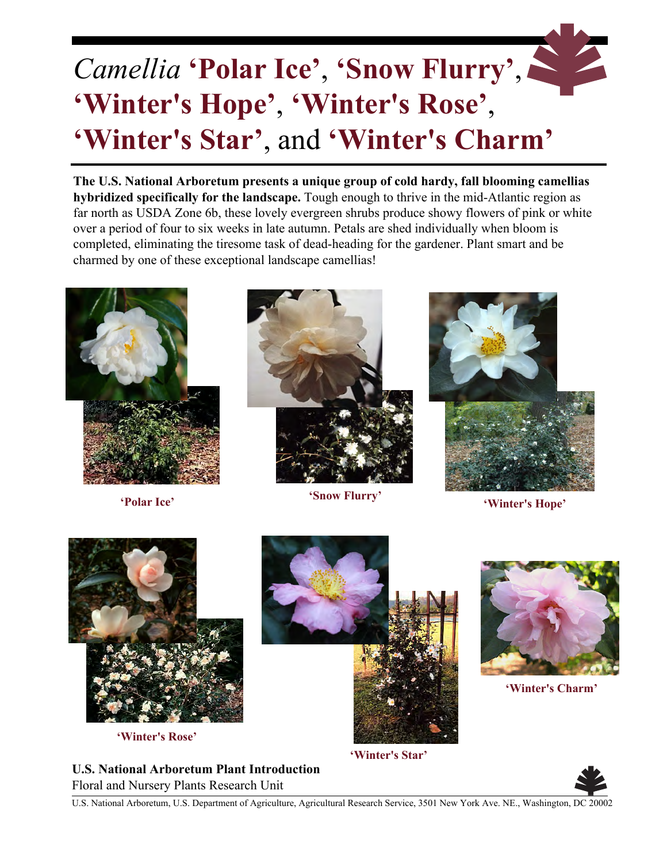## *Camellia* **'Polar Ice'** , **'Snow Flurry'**, **'Winter's Hope'**, **'Winter's Rose'**, **'Winter's Star'**, and **'Winter's Charm'**

**The U.S. National Arboretum presents a unique group of cold hardy, fall blooming camellias hybridized specifically for the landscape.** Tough enough to thrive in the mid-Atlantic region as far north as USDA Zone 6b, these lovely evergreen shrubs produce showy flowers of pink or white over a period of four to six weeks in late autumn. Petals are shed individually when bloom is completed, eliminating the tiresome task of dead-heading for the gardener. Plant smart and be charmed by one of these exceptional landscape camellias!







**'Polar Ice' 'Winter's Hope' 'Snow Flurry'**



**'Winter's Rose'**



**'Winter's Star'**



**'Winter's Charm'**

**U.S. National Arboretum Plant Introduction** Floral and Nursery Plants Research Unit



U.S. National Arboretum, U.S. Department of Agriculture, Agricultural Research Service, 3501 New York Ave. NE., Washington, DC 20002